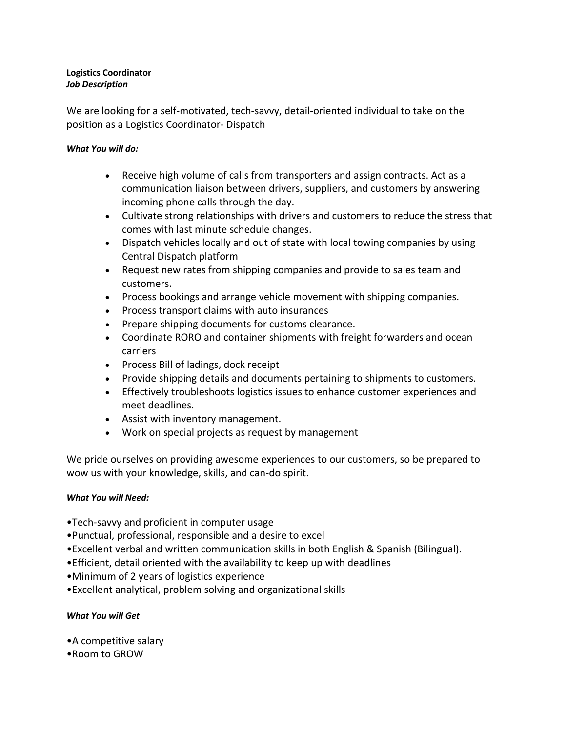#### **Logistics Coordinator** *Job Description*

We are looking for a self-motivated, tech-savvy, detail-oriented individual to take on the position as a Logistics Coordinator- Dispatch

### *What You will do:*

- Receive high volume of calls from transporters and assign contracts. Act as a communication liaison between drivers, suppliers, and customers by answering incoming phone calls through the day.
- Cultivate strong relationships with drivers and customers to reduce the stress that comes with last minute schedule changes.
- Dispatch vehicles locally and out of state with local towing companies by using Central Dispatch platform
- Request new rates from shipping companies and provide to sales team and customers.
- Process bookings and arrange vehicle movement with shipping companies.
- Process transport claims with auto insurances
- Prepare shipping documents for customs clearance.
- Coordinate RORO and container shipments with freight forwarders and ocean carriers
- Process Bill of ladings, dock receipt
- Provide shipping details and documents pertaining to shipments to customers.
- Effectively troubleshoots logistics issues to enhance customer experiences and meet deadlines.
- Assist with inventory management.
- Work on special projects as request by management

We pride ourselves on providing awesome experiences to our customers, so be prepared to wow us with your knowledge, skills, and can-do spirit.

# *What You will Need:*

- •Tech-savvy and proficient in computer usage
- •Punctual, professional, responsible and a desire to excel
- •Excellent verbal and written communication skills in both English & Spanish (Bilingual).
- •Efficient, detail oriented with the availability to keep up with deadlines
- •Minimum of 2 years of logistics experience
- •Excellent analytical, problem solving and organizational skills

# *What You will Get*

- •A competitive salary
- •Room to GROW